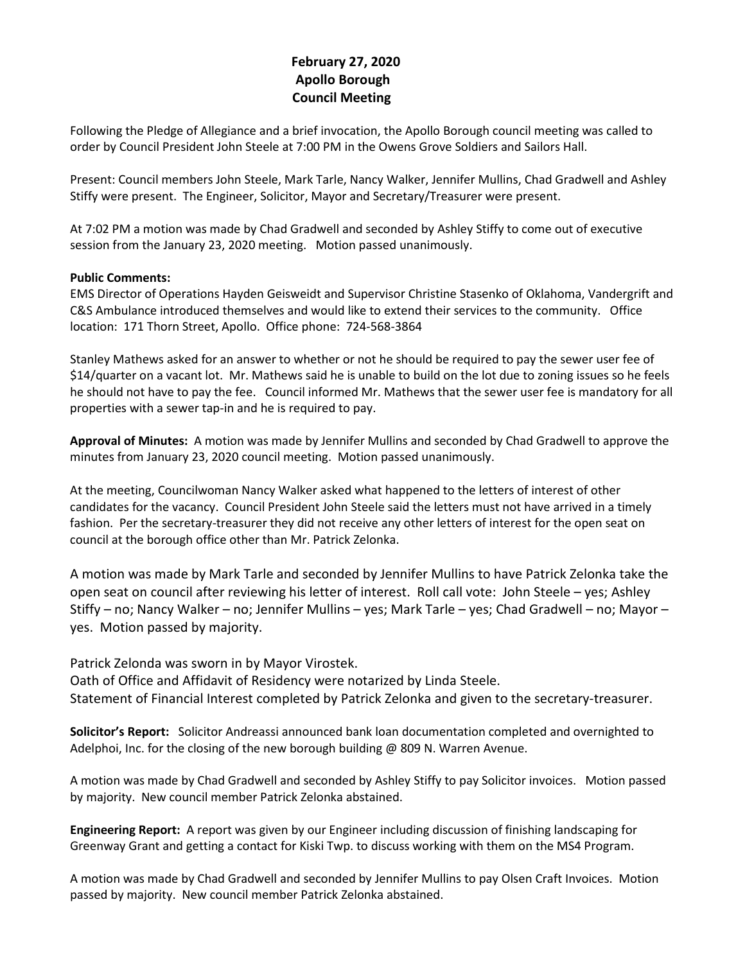# **February 27, 2020 Apollo Borough Council Meeting**

Following the Pledge of Allegiance and a brief invocation, the Apollo Borough council meeting was called to order by Council President John Steele at 7:00 PM in the Owens Grove Soldiers and Sailors Hall.

Present: Council members John Steele, Mark Tarle, Nancy Walker, Jennifer Mullins, Chad Gradwell and Ashley Stiffy were present. The Engineer, Solicitor, Mayor and Secretary/Treasurer were present.

At 7:02 PM a motion was made by Chad Gradwell and seconded by Ashley Stiffy to come out of executive session from the January 23, 2020 meeting. Motion passed unanimously.

## **Public Comments:**

EMS Director of Operations Hayden Geisweidt and Supervisor Christine Stasenko of Oklahoma, Vandergrift and C&S Ambulance introduced themselves and would like to extend their services to the community. Office location: 171 Thorn Street, Apollo. Office phone: 724-568-3864

Stanley Mathews asked for an answer to whether or not he should be required to pay the sewer user fee of \$14/quarter on a vacant lot. Mr. Mathews said he is unable to build on the lot due to zoning issues so he feels he should not have to pay the fee. Council informed Mr. Mathews that the sewer user fee is mandatory for all properties with a sewer tap-in and he is required to pay.

**Approval of Minutes:** A motion was made by Jennifer Mullins and seconded by Chad Gradwell to approve the minutes from January 23, 2020 council meeting. Motion passed unanimously.

At the meeting, Councilwoman Nancy Walker asked what happened to the letters of interest of other candidates for the vacancy. Council President John Steele said the letters must not have arrived in a timely fashion. Per the secretary-treasurer they did not receive any other letters of interest for the open seat on council at the borough office other than Mr. Patrick Zelonka.

A motion was made by Mark Tarle and seconded by Jennifer Mullins to have Patrick Zelonka take the open seat on council after reviewing his letter of interest. Roll call vote: John Steele – yes; Ashley Stiffy – no; Nancy Walker – no; Jennifer Mullins – yes; Mark Tarle – yes; Chad Gradwell – no; Mayor – yes. Motion passed by majority.

Patrick Zelonda was sworn in by Mayor Virostek.

Oath of Office and Affidavit of Residency were notarized by Linda Steele. Statement of Financial Interest completed by Patrick Zelonka and given to the secretary-treasurer.

**Solicitor's Report:** Solicitor Andreassi announced bank loan documentation completed and overnighted to Adelphoi, Inc. for the closing of the new borough building @ 809 N. Warren Avenue.

A motion was made by Chad Gradwell and seconded by Ashley Stiffy to pay Solicitor invoices. Motion passed by majority. New council member Patrick Zelonka abstained.

**Engineering Report:** A report was given by our Engineer including discussion of finishing landscaping for Greenway Grant and getting a contact for Kiski Twp. to discuss working with them on the MS4 Program.

A motion was made by Chad Gradwell and seconded by Jennifer Mullins to pay Olsen Craft Invoices. Motion passed by majority. New council member Patrick Zelonka abstained.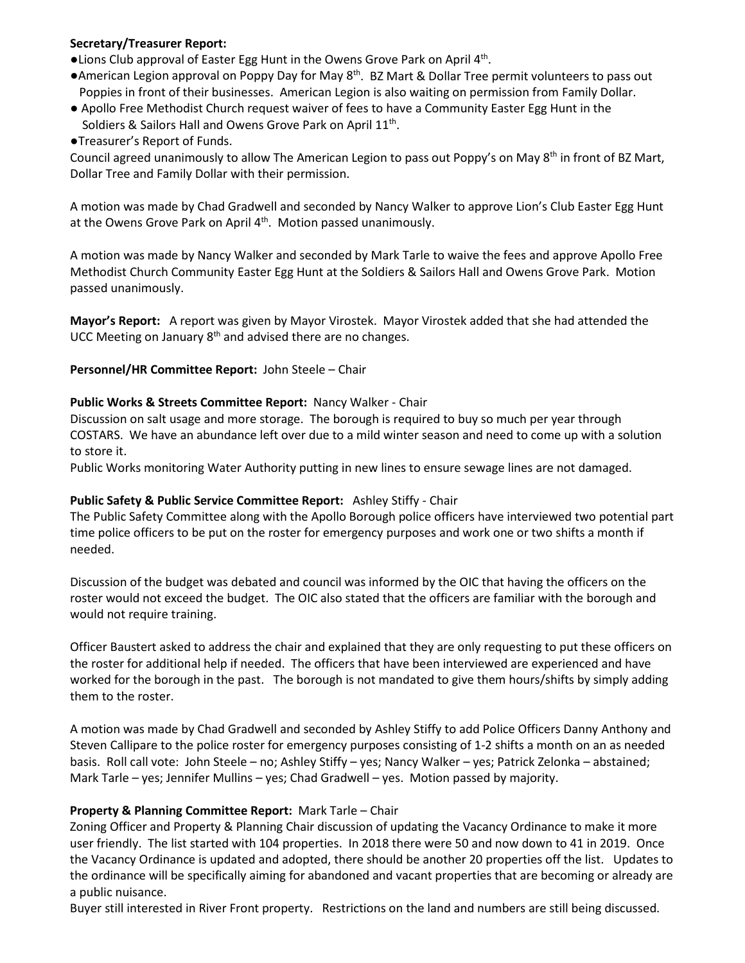## **Secretary/Treasurer Report:**

- ●Lions Club approval of Easter Egg Hunt in the Owens Grove Park on April 4th.
- ●American Legion approval on Poppy Day for May 8<sup>th</sup>. BZ Mart & Dollar Tree permit volunteers to pass out Poppies in front of their businesses. American Legion is also waiting on permission from Family Dollar.
- Apollo Free Methodist Church request waiver of fees to have a Community Easter Egg Hunt in the Soldiers & Sailors Hall and Owens Grove Park on April 11<sup>th</sup>.

●Treasurer's Report of Funds.

Council agreed unanimously to allow The American Legion to pass out Poppy's on May 8<sup>th</sup> in front of BZ Mart, Dollar Tree and Family Dollar with their permission.

A motion was made by Chad Gradwell and seconded by Nancy Walker to approve Lion's Club Easter Egg Hunt at the Owens Grove Park on April 4<sup>th</sup>. Motion passed unanimously.

A motion was made by Nancy Walker and seconded by Mark Tarle to waive the fees and approve Apollo Free Methodist Church Community Easter Egg Hunt at the Soldiers & Sailors Hall and Owens Grove Park. Motion passed unanimously.

**Mayor's Report:** A report was given by Mayor Virostek. Mayor Virostek added that she had attended the UCC Meeting on January  $8<sup>th</sup>$  and advised there are no changes.

## **Personnel/HR Committee Report:** John Steele – Chair

## **Public Works & Streets Committee Report:** Nancy Walker - Chair

Discussion on salt usage and more storage. The borough is required to buy so much per year through COSTARS. We have an abundance left over due to a mild winter season and need to come up with a solution to store it.

Public Works monitoring Water Authority putting in new lines to ensure sewage lines are not damaged.

## **Public Safety & Public Service Committee Report:** Ashley Stiffy - Chair

The Public Safety Committee along with the Apollo Borough police officers have interviewed two potential part time police officers to be put on the roster for emergency purposes and work one or two shifts a month if needed.

Discussion of the budget was debated and council was informed by the OIC that having the officers on the roster would not exceed the budget. The OIC also stated that the officers are familiar with the borough and would not require training.

Officer Baustert asked to address the chair and explained that they are only requesting to put these officers on the roster for additional help if needed. The officers that have been interviewed are experienced and have worked for the borough in the past. The borough is not mandated to give them hours/shifts by simply adding them to the roster.

A motion was made by Chad Gradwell and seconded by Ashley Stiffy to add Police Officers Danny Anthony and Steven Callipare to the police roster for emergency purposes consisting of 1-2 shifts a month on an as needed basis. Roll call vote: John Steele – no; Ashley Stiffy – yes; Nancy Walker – yes; Patrick Zelonka – abstained; Mark Tarle – yes; Jennifer Mullins – yes; Chad Gradwell – yes. Motion passed by majority.

## **Property & Planning Committee Report:** Mark Tarle – Chair

Zoning Officer and Property & Planning Chair discussion of updating the Vacancy Ordinance to make it more user friendly. The list started with 104 properties. In 2018 there were 50 and now down to 41 in 2019. Once the Vacancy Ordinance is updated and adopted, there should be another 20 properties off the list. Updates to the ordinance will be specifically aiming for abandoned and vacant properties that are becoming or already are a public nuisance.

Buyer still interested in River Front property. Restrictions on the land and numbers are still being discussed.